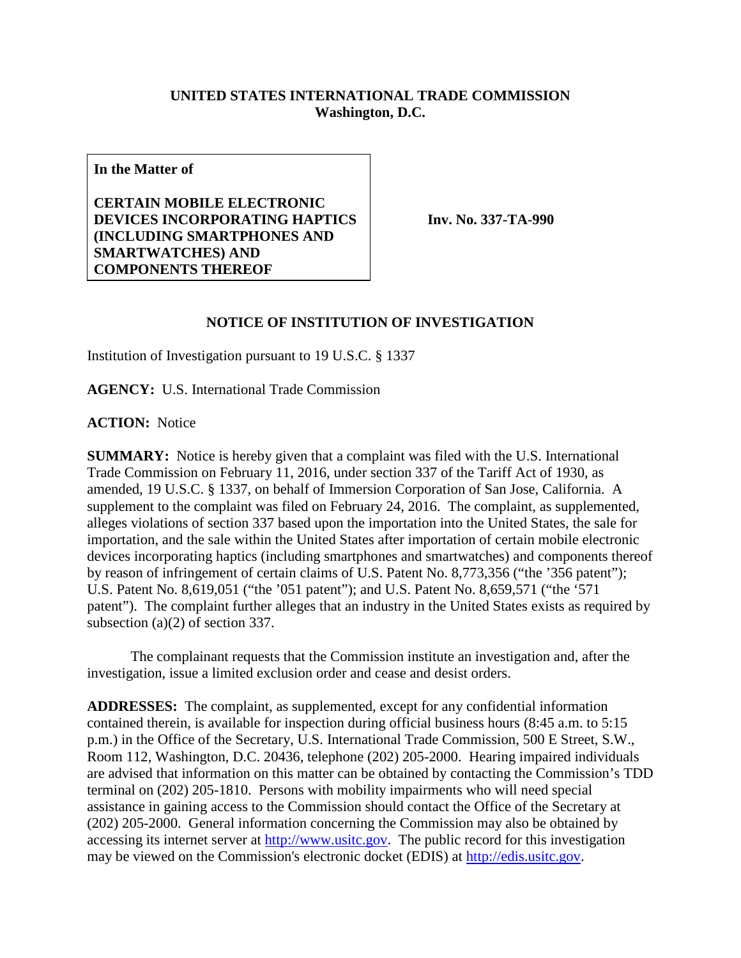## **UNITED STATES INTERNATIONAL TRADE COMMISSION Washington, D.C.**

**In the Matter of**

**CERTAIN MOBILE ELECTRONIC DEVICES INCORPORATING HAPTICS (INCLUDING SMARTPHONES AND SMARTWATCHES) AND COMPONENTS THEREOF**

**Inv. No. 337-TA-990**

## **NOTICE OF INSTITUTION OF INVESTIGATION**

Institution of Investigation pursuant to 19 U.S.C. § 1337

**AGENCY:** U.S. International Trade Commission

**ACTION:** Notice

**SUMMARY:** Notice is hereby given that a complaint was filed with the U.S. International Trade Commission on February 11, 2016, under section 337 of the Tariff Act of 1930, as amended, 19 U.S.C. § 1337, on behalf of Immersion Corporation of San Jose, California. A supplement to the complaint was filed on February 24, 2016. The complaint, as supplemented, alleges violations of section 337 based upon the importation into the United States, the sale for importation, and the sale within the United States after importation of certain mobile electronic devices incorporating haptics (including smartphones and smartwatches) and components thereof by reason of infringement of certain claims of U.S. Patent No. 8,773,356 ("the '356 patent"); U.S. Patent No. 8,619,051 ("the '051 patent"); and U.S. Patent No. 8,659,571 ("the '571 patent"). The complaint further alleges that an industry in the United States exists as required by subsection (a)(2) of section 337.

The complainant requests that the Commission institute an investigation and, after the investigation, issue a limited exclusion order and cease and desist orders.

**ADDRESSES:** The complaint, as supplemented, except for any confidential information contained therein, is available for inspection during official business hours (8:45 a.m. to 5:15 p.m.) in the Office of the Secretary, U.S. International Trade Commission, 500 E Street, S.W., Room 112, Washington, D.C. 20436, telephone (202) 205-2000. Hearing impaired individuals are advised that information on this matter can be obtained by contacting the Commission's TDD terminal on (202) 205-1810. Persons with mobility impairments who will need special assistance in gaining access to the Commission should contact the Office of the Secretary at (202) 205-2000. General information concerning the Commission may also be obtained by accessing its internet server at [http://www.usitc.gov.](http://www.usitc.gov/) The public record for this investigation may be viewed on the Commission's electronic docket (EDIS) at [http://edis.usitc.gov.](http://edis.usitc.gov/)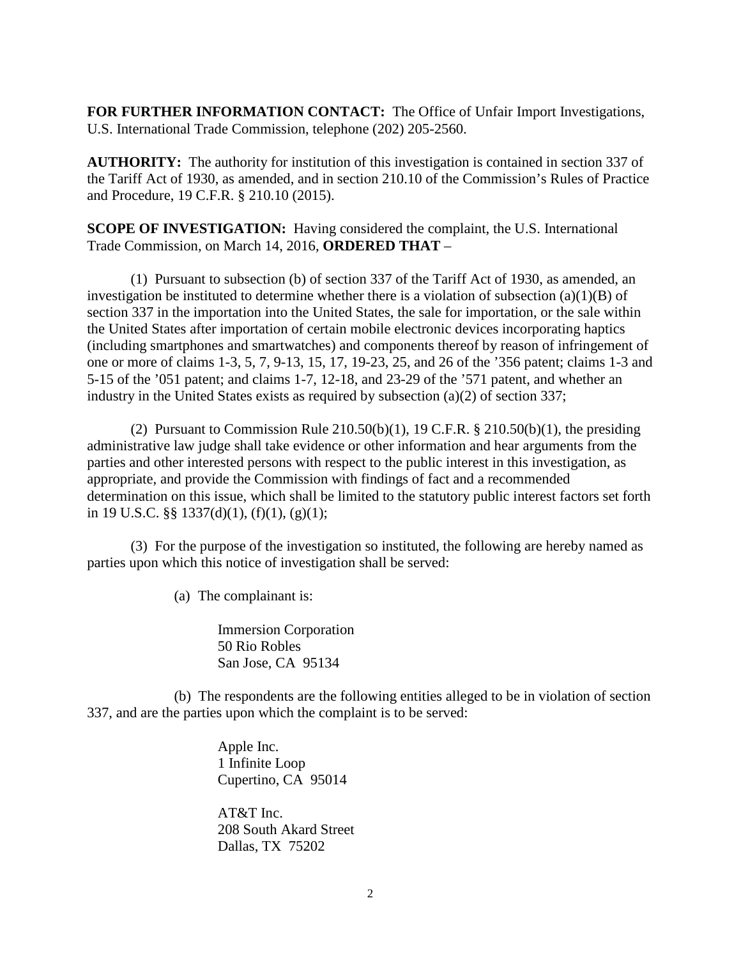**FOR FURTHER INFORMATION CONTACT:** The Office of Unfair Import Investigations, U.S. International Trade Commission, telephone (202) 205-2560.

**AUTHORITY:** The authority for institution of this investigation is contained in section 337 of the Tariff Act of 1930, as amended, and in section 210.10 of the Commission's Rules of Practice and Procedure, 19 C.F.R. § 210.10 (2015).

**SCOPE OF INVESTIGATION:** Having considered the complaint, the U.S. International Trade Commission, on March 14, 2016, **ORDERED THAT** –

(1) Pursuant to subsection (b) of section 337 of the Tariff Act of 1930, as amended, an investigation be instituted to determine whether there is a violation of subsection  $(a)(1)(B)$  of section 337 in the importation into the United States, the sale for importation, or the sale within the United States after importation of certain mobile electronic devices incorporating haptics (including smartphones and smartwatches) and components thereof by reason of infringement of one or more of claims 1-3, 5, 7, 9-13, 15, 17, 19-23, 25, and 26 of the '356 patent; claims 1-3 and 5-15 of the '051 patent; and claims 1-7, 12-18, and 23-29 of the '571 patent, and whether an industry in the United States exists as required by subsection (a)(2) of section 337;

(2) Pursuant to Commission Rule  $210.50(b)(1)$ , 19 C.F.R. §  $210.50(b)(1)$ , the presiding administrative law judge shall take evidence or other information and hear arguments from the parties and other interested persons with respect to the public interest in this investigation, as appropriate, and provide the Commission with findings of fact and a recommended determination on this issue, which shall be limited to the statutory public interest factors set forth in 19 U.S.C. §§ 1337(d)(1), (f)(1), (g)(1);

(3) For the purpose of the investigation so instituted, the following are hereby named as parties upon which this notice of investigation shall be served:

(a) The complainant is:

Immersion Corporation 50 Rio Robles San Jose, CA 95134

(b) The respondents are the following entities alleged to be in violation of section 337, and are the parties upon which the complaint is to be served:

> Apple Inc. 1 Infinite Loop Cupertino, CA 95014

AT&T Inc. 208 South Akard Street Dallas, TX 75202